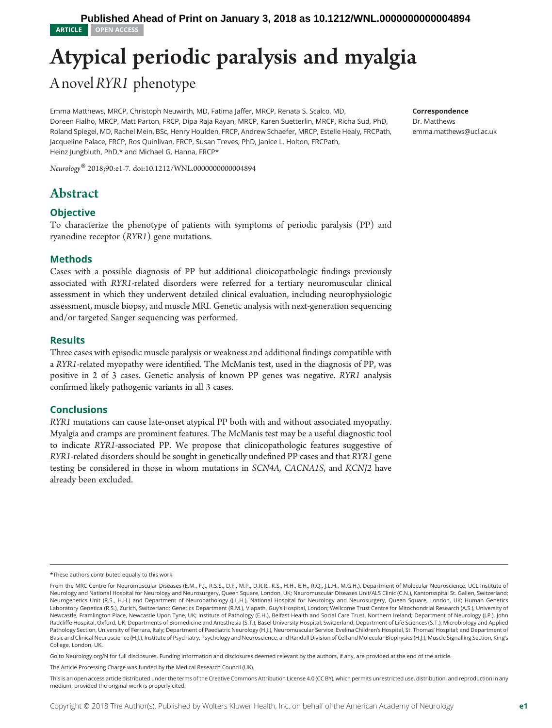# Atypical periodic paralysis and myalgia

A novel RYR1 phenotype

Emma Matthews, MRCP, Christoph Neuwirth, MD, Fatima Jaffer, MRCP, Renata S. Scalco, MD, Doreen Fialho, MRCP, Matt Parton, FRCP, Dipa Raja Rayan, MRCP, Karen Suetterlin, MRCP, Richa Sud, PhD, Roland Spiegel, MD, Rachel Mein, BSc, Henry Houlden, FRCP, Andrew Schaefer, MRCP, Estelle Healy, FRCPath, Jacqueline Palace, FRCP, Ros Quinlivan, FRCP, Susan Treves, PhD, Janice L. Holton, FRCPath, Heinz Jungbluth, PhD,\* and Michael G. Hanna, FRCP\*

Neurology® 2018;90:e1-7. doi[:10.1212/WNL.0000000000004894](http://dx.doi.org/10.1212/WNL.0000000000004894)

# Abstract

## **Objective**

To characterize the phenotype of patients with symptoms of periodic paralysis (PP) and ryanodine receptor (RYR1) gene mutations.

## Methods

Cases with a possible diagnosis of PP but additional clinicopathologic findings previously associated with RYR1-related disorders were referred for a tertiary neuromuscular clinical assessment in which they underwent detailed clinical evaluation, including neurophysiologic assessment, muscle biopsy, and muscle MRI. Genetic analysis with next-generation sequencing and/or targeted Sanger sequencing was performed.

## **Results**

Three cases with episodic muscle paralysis or weakness and additional findings compatible with <sup>a</sup> RYR1-related myopathy were identified. The McManis test, used in the diagnosis of PP, was positive in 2 of 3 cases. Genetic analysis of known PP genes was negative. RYR1 analysis confirmed likely pathogenic variants in all 3 cases.

## **Conclusions**

RYR1 mutations can cause late-onset atypical PP both with and without associated myopathy. Myalgia and cramps are prominent features. The McManis test may be a useful diagnostic tool to indicate RYR1-associated PP. We propose that clinicopathologic features suggestive of RYR1-related disorders should be sought in genetically undefined PP cases and that RYR1 gene testing be considered in those in whom mutations in SCN4A, CACNA1S, and KCNJ2 have already been excluded.

Go to [Neurology.org/N](http://n.neurology.org/lookup/doi/10.1212/WNL.0000000000004894) for full disclosures. Funding information and disclosures deemed relevant by the authors, if any, are provided at the end of the article.

The Article Processing Charge was funded by the Medical Research Council (UK).

Correspondence Dr. Matthews [emma.matthews@ucl.ac.uk](mailto:emma.matthews@ucl.ac.uk)

<sup>\*</sup>These authors contributed equally to this work.

From the MRC Centre for Neuromuscular Diseases (E.M., F.J., R.S.S., D.F., M.P., D.R.R., K.S., H.H., E.H., R.Q., J.L.H., M.G.H.), Department of Molecular Neuroscience, UCL Institute of Neurology and National Hospital for Neurology and Neurosurgery, Queen Square, London, UK; Neuromuscular Diseases Unit/ALS Clinic (C.N.), Kantonsspital St. Gallen, Switzerland; Neurogenetics Unit (R.S., H.H.) and Department of Neuropathology (J.L.H.), National Hospital for Neurology and Neurosurgery, Queen Square, London, UK; Human Genetics Laboratory Genetica (R.S.), Zurich, Switzerland; Genetics Department (R.M.), Viapath, Guy's Hospital, London; Wellcome Trust Centre for Mitochondrial Research (A.S.), University of Newcastle, Framlington Place, Newcastle Upon Tyne, UK; Institute of Pathology (E.H.), Belfast Health and Social Care Trust, Northern Ireland; Department of Neurology (J.P.), John Radcliffe Hospital, Oxford, UK; Departments of Biomedicine and Anesthesia (S.T.), Basel University Hospital, Switzerland; Department of Life Sciences (S.T.), Microbiology and Applied Pathology Section, University of Ferrara, Italy; Department of Paediatric Neurology (H.J.), Neuromuscular Service, Evelina Children's Hospital, St. Thomas' Hospital; and Department of Basic and Clinical Neuroscience (H.J.), Institute of Psychiatry, Psychology and Neuroscience, and Randall Division of Cell and Molecular Biophysics (H.J.), Muscle Signalling Section, King's College, London, UK.

This is an open access article distributed under the terms of the [Creative Commons Attribution License 4.0 \(CC BY\),](http://creativecommons.org/licenses/by/4.0/) which permits unrestricted use, distribution, and reproduction in any medium, provided the original work is properly cited.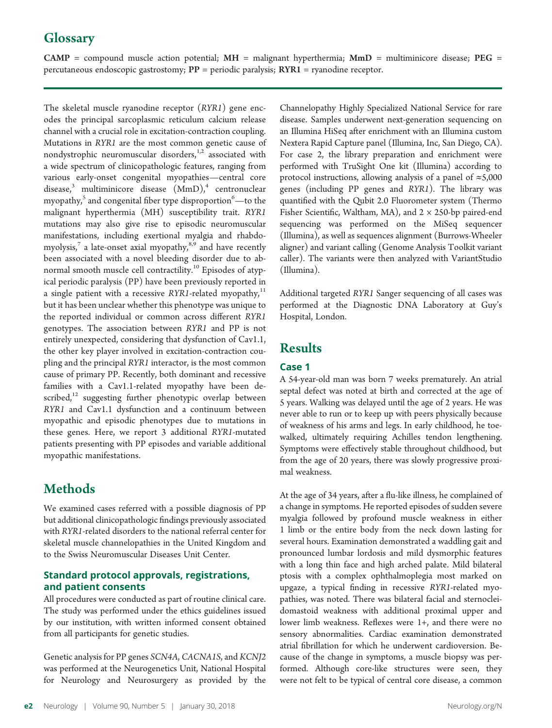# **Glossary**

 $CAMP =$  compound muscle action potential;  $MH =$  malignant hyperthermia;  $MMD =$  multiminicore disease;  $PEG =$ percutaneous endoscopic gastrostomy;  $PP =$  periodic paralysis;  $RYR1 =$  ryanodine receptor.

The skeletal muscle ryanodine receptor (RYR1) gene encodes the principal sarcoplasmic reticulum calcium release channel with a crucial role in excitation-contraction coupling. Mutations in RYR1 are the most common genetic cause of nondystrophic neuromuscular disorders, $1,2$  associated with a wide spectrum of clinicopathologic features, ranging from various early-onset congenital myopathies—central core disease,<sup>3</sup> multiminicore disease  $(MmD)$ ,<sup>4</sup> centronuclear myopathy, $^{\mathrm{5}}$  and congenital fiber type disproportion $^{\mathrm{6}}$ —to the malignant hyperthermia (MH) susceptibility trait. RYR1 mutations may also give rise to episodic neuromuscular manifestations, including exertional myalgia and rhabdomyolysis,<sup>7</sup> a late-onset axial myopathy, $8,9$  and have recently been associated with a novel bleeding disorder due to abnormal smooth muscle cell contractility.<sup>10</sup> Episodes of atypical periodic paralysis (PP) have been previously reported in a single patient with a recessive RYR1-related myopathy, $11$ but it has been unclear whether this phenotype was unique to the reported individual or common across different RYR1 genotypes. The association between RYR1 and PP is not entirely unexpected, considering that dysfunction of Cav1.1, the other key player involved in excitation-contraction coupling and the principal RYR1 interactor, is the most common cause of primary PP. Recently, both dominant and recessive families with a Cav1.1-related myopathy have been described, $12$  suggesting further phenotypic overlap between RYR1 and Cav1.1 dysfunction and a continuum between myopathic and episodic phenotypes due to mutations in these genes. Here, we report 3 additional RYR1-mutated patients presenting with PP episodes and variable additional myopathic manifestations.

# Methods

We examined cases referred with a possible diagnosis of PP but additional clinicopathologic findings previously associated with RYR1-related disorders to the national referral center for skeletal muscle channelopathies in the United Kingdom and to the Swiss Neuromuscular Diseases Unit Center.

## Standard protocol approvals, registrations, and patient consents

All procedures were conducted as part of routine clinical care. The study was performed under the ethics guidelines issued by our institution, with written informed consent obtained from all participants for genetic studies.

Genetic analysis for PP genes SCN4A, CACNA1S, and KCNJ2 was performed at the Neurogenetics Unit, National Hospital for Neurology and Neurosurgery as provided by the Channelopathy Highly Specialized National Service for rare disease. Samples underwent next-generation sequencing on an Illumina HiSeq after enrichment with an Illumina custom Nextera Rapid Capture panel (Illumina, Inc, San Diego, CA). For case 2, the library preparation and enrichment were performed with TruSight One kit (Illumina) according to protocol instructions, allowing analysis of a panel of  $\approx$ 5,000 genes (including PP genes and RYR1). The library was quantified with the Qubit 2.0 Fluorometer system (Thermo Fisher Scientific, Waltham, MA), and  $2 \times 250$ -bp paired-end sequencing was performed on the MiSeq sequencer (Illumina), as well as sequences alignment (Burrows-Wheeler aligner) and variant calling (Genome Analysis Toolkit variant caller). The variants were then analyzed with VariantStudio (Illumina).

Additional targeted RYR1 Sanger sequencing of all cases was performed at the Diagnostic DNA Laboratory at Guy's Hospital, London.

# Results

## Case 1

A 54-year-old man was born 7 weeks prematurely. An atrial septal defect was noted at birth and corrected at the age of 5 years. Walking was delayed until the age of 2 years. He was never able to run or to keep up with peers physically because of weakness of his arms and legs. In early childhood, he toewalked, ultimately requiring Achilles tendon lengthening. Symptoms were effectively stable throughout childhood, but from the age of 20 years, there was slowly progressive proximal weakness.

At the age of 34 years, after a flu-like illness, he complained of a change in symptoms. He reported episodes of sudden severe myalgia followed by profound muscle weakness in either 1 limb or the entire body from the neck down lasting for several hours. Examination demonstrated a waddling gait and pronounced lumbar lordosis and mild dysmorphic features with a long thin face and high arched palate. Mild bilateral ptosis with a complex ophthalmoplegia most marked on upgaze, a typical finding in recessive RYR1-related myopathies, was noted. There was bilateral facial and sternocleidomastoid weakness with additional proximal upper and lower limb weakness. Reflexes were 1+, and there were no sensory abnormalities. Cardiac examination demonstrated atrial fibrillation for which he underwent cardioversion. Because of the change in symptoms, a muscle biopsy was performed. Although core-like structures were seen, they were not felt to be typical of central core disease, a common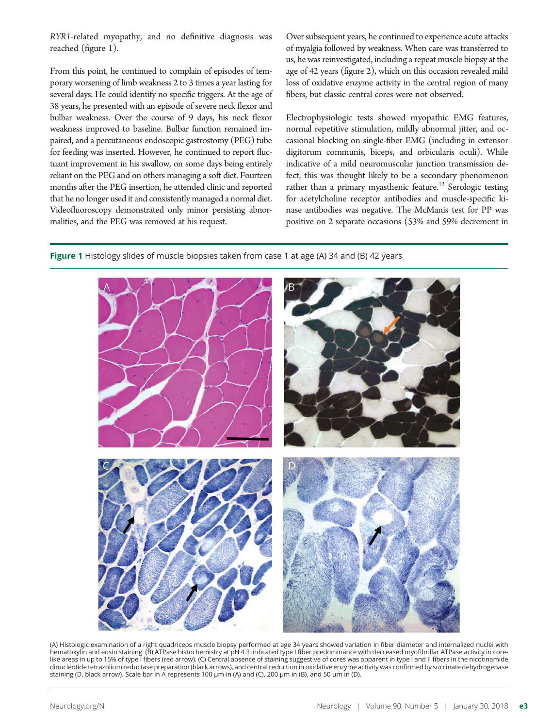RYR1-related myopathy, and no definitive diagnosis was reached (figure 1).

From this point, he continued to complain of episodes of temporary worsening of limb weakness 2 to 3 times a year lasting for several days. He could identify no specific triggers. At the age of 38 years, he presented with an episode of severe neck flexor and bulbar weakness. Over the course of 9 days, his neck flexor weakness improved to baseline. Bulbar function remained impaired, and a percutaneous endoscopic gastrostomy (PEG) tube for feeding was inserted. However, he continued to report fluctuant improvement in his swallow, on some days being entirely reliant on the PEG and on others managing a soft diet. Fourteen months after the PEG insertion, he attended clinic and reported that he no longer used it and consistently managed a normal diet. Videofluoroscopy demonstrated only minor persisting abnormalities, and the PEG was removed at his request.

Over subsequent years, he continued to experience acute attacks of myalgia followed by weakness. When care was transferred to us, he was reinvestigated, including a repeat muscle biopsy at the age of 42 years (figure 2), which on this occasion revealed mild loss of oxidative enzyme activity in the central region of many fibers, but classic central cores were not observed.

Electrophysiologic tests showed myopathic EMG features, normal repetitive stimulation, mildly abnormal jitter, and occasional blocking on single-fiber EMG (including in extensor digitorum communis, biceps, and orbicularis oculi). While indicative of a mild neuromuscular junction transmission defect, this was thought likely to be a secondary phenomenon rather than a primary myasthenic feature.<sup>13</sup> Serologic testing for acetylcholine receptor antibodies and muscle-specific kinase antibodies was negative. The McManis test for PP was positive on 2 separate occasions (53% and 59% decrement in

Figure 1 Histology slides of muscle biopsies taken from case 1 at age (A) 34 and (B) 42 years



(A) Histologic examination of a right quadriceps muscle biopsy performed at age 34 years showed variation in fiber diameter and internalized nuclei with hematoxylin and eosin staining. (B) ATPase histochemistry at pH 4.3 indicated type I fiber predominance with decreased myofibrillar ATPase activity in corelike areas in up to 15% of type I fibers (red arrow). (C) Central absence of staining suggestive of cores was apparent in type I and II fibers in the nicotinamide dinucleotide tetrazolium reductase preparation (black arrows), and central reduction in oxidative enzyme activity was confirmed by succinate dehydrogenase staining (D, black arrow). Scale bar in A represents 100 μm in (A) and (C), 200 μm in (B), and 50 μm in (D).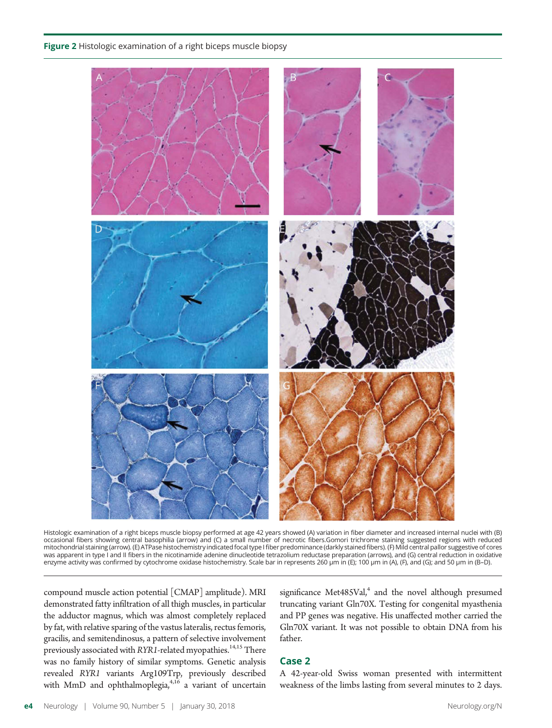Figure 2 Histologic examination of a right biceps muscle biopsy



Histologic examination of a right biceps muscle biopsy performed at age 42 years showed (A) variation in fiber diameter and increased internal nuclei with (B) occasional fibers showing central basophilia (arrow) and (C) a small number of necrotic fibers.Gomori trichrome staining suggested regions with reduced mitochondrial staining (arrow). (E) ATPase histochemistry indicated focal type I fiber predominance (darkly stained fibers). (F) Mild central pallor suggestive of cores was apparent in type I and II fibers in the nicotinamide adenine dinucleotide tetrazolium reductase preparation (arrows), and (G) central reduction in oxidative enzyme activity was confirmed by cytochrome oxidase histochemistry. Scale bar in represents 260 μm in (E); 100 μm in (A), (F), and (G); and 50 μm in (B–D).

compound muscle action potential [CMAP] amplitude). MRI demonstrated fatty infiltration of all thigh muscles, in particular the adductor magnus, which was almost completely replaced by fat, with relative sparing of the vastus lateralis, rectus femoris, gracilis, and semitendinosus, a pattern of selective involvement previously associated with RYR1-related myopathies. $^{14,15}$  There was no family history of similar symptoms. Genetic analysis revealed *RYR1* variants Arg109Trp, previously described<br>with MmD and ophthalmoplegia,<sup>4,16</sup> a variant of uncertain

significance Met $485$ Val, $4$  and the novel although presumed truncating variant Gln70X. Testing for congenital myasthenia and PP genes was negative. His unaffected mother carried the Gln70X variant. It was not possible to obtain DNA from his father.

## Case 2

A 42-year-old Swiss woman presented with intermittent weakness of the limbs lasting from several minutes to 2 days.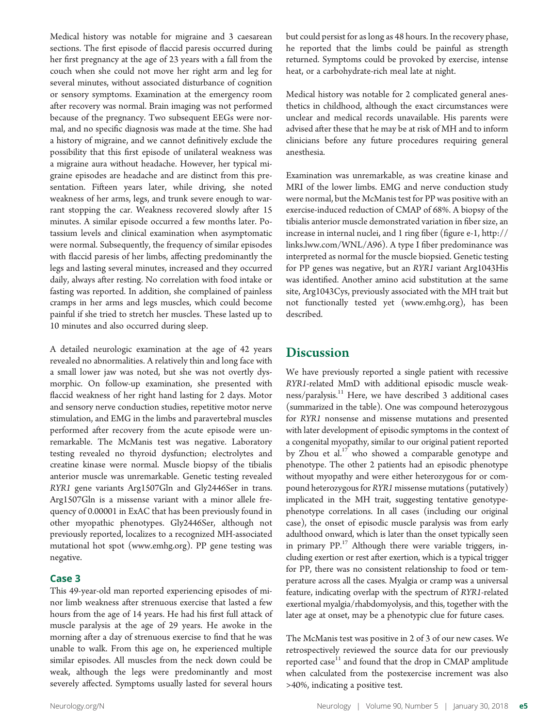Medical history was notable for migraine and 3 caesarean sections. The first episode of flaccid paresis occurred during her first pregnancy at the age of 23 years with a fall from the couch when she could not move her right arm and leg for several minutes, without associated disturbance of cognition or sensory symptoms. Examination at the emergency room after recovery was normal. Brain imaging was not performed because of the pregnancy. Two subsequent EEGs were normal, and no specific diagnosis was made at the time. She had a history of migraine, and we cannot definitively exclude the possibility that this first episode of unilateral weakness was a migraine aura without headache. However, her typical migraine episodes are headache and are distinct from this presentation. Fifteen years later, while driving, she noted weakness of her arms, legs, and trunk severe enough to warrant stopping the car. Weakness recovered slowly after 15 minutes. A similar episode occurred a few months later. Potassium levels and clinical examination when asymptomatic were normal. Subsequently, the frequency of similar episodes with flaccid paresis of her limbs, affecting predominantly the legs and lasting several minutes, increased and they occurred daily, always after resting. No correlation with food intake or fasting was reported. In addition, she complained of painless cramps in her arms and legs muscles, which could become painful if she tried to stretch her muscles. These lasted up to 10 minutes and also occurred during sleep.

A detailed neurologic examination at the age of 42 years revealed no abnormalities. A relatively thin and long face with a small lower jaw was noted, but she was not overtly dysmorphic. On follow-up examination, she presented with flaccid weakness of her right hand lasting for 2 days. Motor and sensory nerve conduction studies, repetitive motor nerve stimulation, and EMG in the limbs and paravertebral muscles performed after recovery from the acute episode were unremarkable. The McManis test was negative. Laboratory testing revealed no thyroid dysfunction; electrolytes and creatine kinase were normal. Muscle biopsy of the tibialis anterior muscle was unremarkable. Genetic testing revealed RYR1 gene variants Arg1507Gln and Gly2446Ser in trans. Arg1507Gln is a missense variant with a minor allele frequency of 0.00001 in ExAC that has been previously found in other myopathic phenotypes. Gly2446Ser, although not previously reported, localizes to a recognized MH-associated mutational hot spot ([www.emhg.org\)](http://www.emhg.org). PP gene testing was negative.

#### Case 3

This 49-year-old man reported experiencing episodes of minor limb weakness after strenuous exercise that lasted a few hours from the age of 14 years. He had his first full attack of muscle paralysis at the age of 29 years. He awoke in the morning after a day of strenuous exercise to find that he was unable to walk. From this age on, he experienced multiple similar episodes. All muscles from the neck down could be weak, although the legs were predominantly and most severely affected. Symptoms usually lasted for several hours

but could persist for as long as 48 hours. In the recovery phase, he reported that the limbs could be painful as strength returned. Symptoms could be provoked by exercise, intense heat, or a carbohydrate-rich meal late at night.

Medical history was notable for 2 complicated general anesthetics in childhood, although the exact circumstances were unclear and medical records unavailable. His parents were advised after these that he may be at risk of MH and to inform clinicians before any future procedures requiring general anesthesia.

Examination was unremarkable, as was creatine kinase and MRI of the lower limbs. EMG and nerve conduction study were normal, but the McManis test for PP was positive with an exercise-induced reduction of CMAP of 68%. A biopsy of the tibialis anterior muscle demonstrated variation in fiber size, an increase in internal nuclei, and 1 ring fiber (figure e-1, [http://](http://links.lww.com/WNL/A96) [links.lww.com/WNL/A96\)](http://links.lww.com/WNL/A96). A type I fiber predominance was interpreted as normal for the muscle biopsied. Genetic testing for PP genes was negative, but an RYR1 variant Arg1043His was identified. Another amino acid substitution at the same site, Arg1043Cys, previously associated with the MH trait but not functionally tested yet ([www.emhg.org\)](http://www.emhg.org/), has been described.

## **Discussion**

We have previously reported a single patient with recessive RYR1-related MmD with additional episodic muscle weakness/paralysis.<sup>11</sup> Here, we have described 3 additional cases (summarized in the table). One was compound heterozygous for RYR1 nonsense and missense mutations and presented with later development of episodic symptoms in the context of a congenital myopathy, similar to our original patient reported by Zhou et al.<sup>17</sup> who showed a comparable genotype and phenotype. The other 2 patients had an episodic phenotype without myopathy and were either heterozygous for or compound heterozygous for RYR1 missense mutations (putatively) implicated in the MH trait, suggesting tentative genotypephenotype correlations. In all cases (including our original case), the onset of episodic muscle paralysis was from early adulthood onward, which is later than the onset typically seen in primary PP.<sup>17</sup> Although there were variable triggers, including exertion or rest after exertion, which is a typical trigger for PP, there was no consistent relationship to food or temperature across all the cases. Myalgia or cramp was a universal feature, indicating overlap with the spectrum of RYR1-related exertional myalgia/rhabdomyolysis, and this, together with the later age at onset, may be a phenotypic clue for future cases.

The McManis test was positive in 2 of 3 of our new cases. We retrospectively reviewed the source data for our previously reported case $11$  and found that the drop in CMAP amplitude when calculated from the postexercise increment was also >40%, indicating a positive test.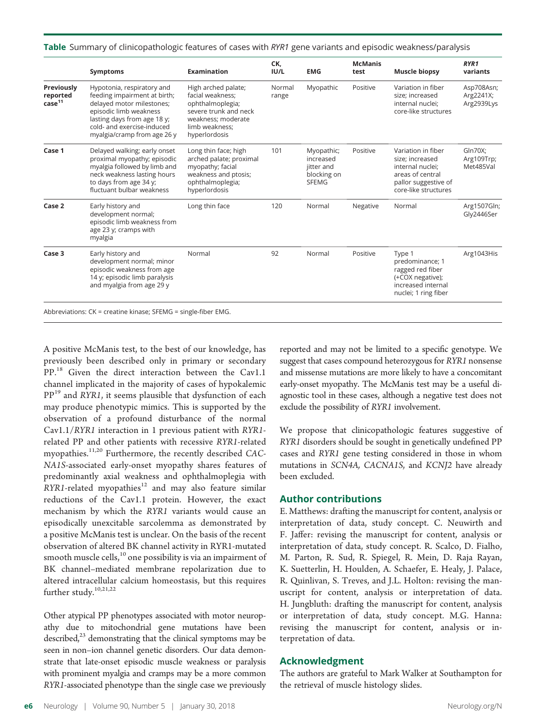|  |  |  |  |  | Table Summary of clinicopathologic features of cases with RYR1 gene variants and episodic weakness/paralysis |  |
|--|--|--|--|--|--------------------------------------------------------------------------------------------------------------|--|
|--|--|--|--|--|--------------------------------------------------------------------------------------------------------------|--|

| Symptoms                                                                                                                                                                                                      | <b>Examination</b>                                                                                                                            | CK,<br>IUI/L    | <b>EMG</b>                                                           | <b>McManis</b><br>test | <b>Muscle biopsy</b>                                                                                                          | RYR1<br>variants                          |
|---------------------------------------------------------------------------------------------------------------------------------------------------------------------------------------------------------------|-----------------------------------------------------------------------------------------------------------------------------------------------|-----------------|----------------------------------------------------------------------|------------------------|-------------------------------------------------------------------------------------------------------------------------------|-------------------------------------------|
| Hypotonia, respiratory and<br>feeding impairment at birth;<br>delayed motor milestones;<br>episodic limb weakness<br>lasting days from age 18 y;<br>cold- and exercise-induced<br>myalgia/cramp from age 26 y | High arched palate;<br>facial weakness:<br>ophthalmoplegia;<br>severe trunk and neck<br>weakness: moderate<br>limb weakness;<br>hyperlordosis | Normal<br>range | Myopathic                                                            | Positive               | Variation in fiber<br>size; increased<br>internal nuclei;<br>core-like structures                                             | Asp708Asn;<br>Arg2241X;<br>Arg2939Lys     |
| Delayed walking; early onset<br>proximal myopathy; episodic<br>myalgia followed by limb and<br>neck weakness lasting hours<br>to days from age 34 y;<br>fluctuant bulbar weakness                             | Long thin face; high<br>arched palate; proximal<br>myopathy; facial<br>weakness and ptosis;<br>ophthalmoplegia;<br>hyperlordosis              | 101             | Myopathic;<br>increased<br>jitter and<br>blocking on<br><b>SFEMG</b> | Positive               | Variation in fiber<br>size; increased<br>internal nuclei;<br>areas of central<br>pallor suggestive of<br>core-like structures | <b>Gln70X:</b><br>Arg109Trp;<br>Met485Val |
| Early history and<br>development normal;<br>episodic limb weakness from<br>age 23 y; cramps with<br>myalgia                                                                                                   | Long thin face                                                                                                                                | 120             | Normal                                                               | Negative               | Normal                                                                                                                        | Arg1507Gln;<br>Gly2446Ser                 |
| Early history and<br>development normal; minor<br>episodic weakness from age<br>14 y; episodic limb paralysis<br>and myalgia from age 29 y                                                                    | Normal                                                                                                                                        | 92              | Normal                                                               | Positive               | Type 1<br>predominance; 1<br>ragged red fiber<br>(+COX negative);<br>increased internal<br>nuclei; 1 ring fiber               | Arg1043His                                |
|                                                                                                                                                                                                               |                                                                                                                                               |                 |                                                                      |                        |                                                                                                                               |                                           |

A positive McManis test, to the best of our knowledge, has previously been described only in primary or secondary PP.<sup>18</sup> Given the direct interaction between the Cav1.1 channel implicated in the majority of cases of hypokalemic  $PP<sup>19</sup>$  and RYR1, it seems plausible that dysfunction of each may produce phenotypic mimics. This is supported by the observation of a profound disturbance of the normal Cav1.1/RYR1 interaction in 1 previous patient with RYR1-<br>related PP and other patients with recessive RYR1-related related PP and other patients with recessive RYR1-related<br>myonathies <sup>11,20</sup> Eurthermore, the recently described CACmyopathies.<sup>11,20</sup> Furthermore, the recently described CAC- $N41S$ -associated early-opest myopathy shares features of NA1S-associated early-onset myopathy shares features of predominantly axial weakness and ophthalmoplegia with  $RYR1$ -related myopathies $12$  and may also feature similar reductions of the Cav1.1 protein. However, the exact mechanism by which the RYR1 variants would cause an episodically unexcitable sarcolemma as demonstrated by a positive McManis test is unclear. On the basis of the recent observation of altered BK channel activity in RYR1-mutated smooth muscle cells,  $^{10}$  one possibility is via an impairment of BK channel–mediated membrane repolarization due to altered intracellular calcium homeostasis, but this requires further study.<sup>10,21,22</sup>

Other atypical PP phenotypes associated with motor neuropathy due to mitochondrial gene mutations have been described, $23$  demonstrating that the clinical symptoms may be seen in non–ion channel genetic disorders. Our data demonstrate that late-onset episodic muscle weakness or paralysis with prominent myalgia and cramps may be a more common RYR1-associated phenotype than the single case we previously

reported and may not be limited to a specific genotype. We suggest that cases compound heterozygous for RYR1 nonsense and missense mutations are more likely to have a concomitant early-onset myopathy. The McManis test may be a useful diagnostic tool in these cases, although a negative test does not exclude the possibility of RYR1 involvement.

We propose that clinicopathologic features suggestive of RYR1 disorders should be sought in genetically undefined PP cases and RYR1 gene testing considered in those in whom mutations in SCN4A, CACNA1S, and KCNJ2 have already been excluded.

## Author contributions

E. Matthews: drafting the manuscript for content, analysis or interpretation of data, study concept. C. Neuwirth and F. Jaffer: revising the manuscript for content, analysis or interpretation of data, study concept. R. Scalco, D. Fialho, M. Parton, R. Sud, R. Spiegel, R. Mein, D. Raja Rayan, K. Suetterlin, H. Houlden, A. Schaefer, E. Healy, J. Palace, R. Quinlivan, S. Treves, and J.L. Holton: revising the manuscript for content, analysis or interpretation of data. H. Jungbluth: drafting the manuscript for content, analysis or interpretation of data, study concept. M.G. Hanna: revising the manuscript for content, analysis or interpretation of data.

#### Acknowledgment

The authors are grateful to Mark Walker at Southampton for the retrieval of muscle histology slides.